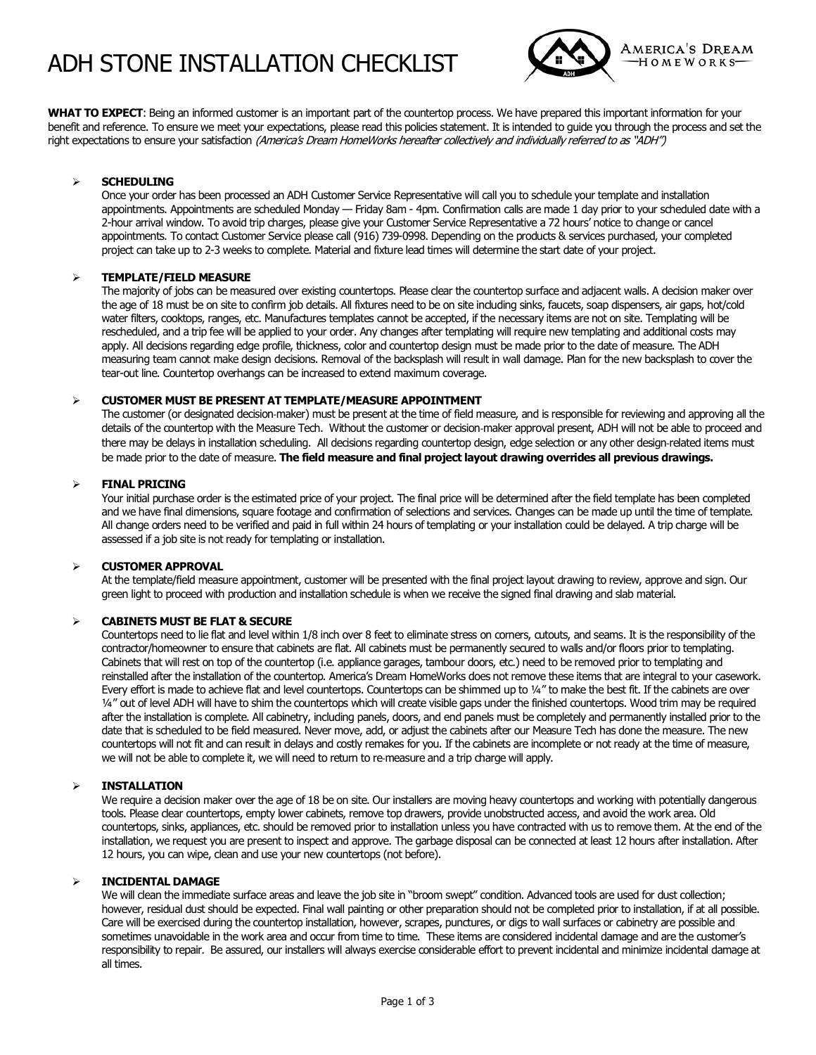# ADH STONE INSTALLATION CHECKLIST



**WHAT TO EXPECT**: Being an informed customer is an important part of the countertop process. We have prepared this important information for your benefit and reference. To ensure we meet your expectations, please read this policies statement. It is intended to quide you through the process and set the right expectations to ensure your satisfaction (America's Dream HomeWorks hereafter collectively and individually referred to as "ADH")

## ➢ **SCHEDULING**

Once your order has been processed an ADH Customer Service Representative will call you to schedule your template and installation appointments. Appointments are scheduled Monday — Friday 8am - 4pm. Confirmation calls are made 1 day prior to your scheduled date with a 2-hour arrival window. To avoid trip charges, please give your Customer Service Representative a 72 hours' notice to change or cancel appointments. To contact Customer Service please call (916) 739-0998. Depending on the products & services purchased, your completed project can take up to 2-3 weeks to complete. Material and fixture lead times will determine the start date of your project.

## ➢ **TEMPLATE/FIELD MEASURE**

The majority of jobs can be measured over existing countertops. Please clear the countertop surface and adjacent walls. A decision maker over the age of 18 must be on site to confirm job details. All fixtures need to be on site including sinks, faucets, soap dispensers, air gaps, hot/cold water filters, cooktops, ranges, etc. Manufactures templates cannot be accepted, if the necessary items are not on site. Templating will be rescheduled, and a trip fee will be applied to your order. Any changes after templating will require new templating and additional costs may apply. All decisions regarding edge profile, thickness, color and countertop design must be made prior to the date of measure. The ADH measuring team cannot make design decisions. Removal of the backsplash will result in wall damage. Plan for the new backsplash to cover the tear-out line. Countertop overhangs can be increased to extend maximum coverage.

## ➢ **CUSTOMER MUST BE PRESENT AT TEMPLATE/MEASURE APPOINTMENT**

The customer (or designated decision‐maker) must be present at the time of field measure, and is responsible for reviewing and approving all the details of the countertop with the Measure Tech. Without the customer or decision‐maker approval present, ADH will not be able to proceed and there may be delays in installation scheduling. All decisions regarding countertop design, edge selection or any other design-related items must be made prior to the date of measure. **The field measure and final project layout drawing overrides all previous drawings.**

## ➢ **FINAL PRICING**

Your initial purchase order is the estimated price of your project. The final price will be determined after the field template has been completed and we have final dimensions, square footage and confirmation of selections and services. Changes can be made up until the time of template. All change orders need to be verified and paid in full within 24 hours of templating or your installation could be delayed. A trip charge will be assessed if a job site is not ready for templating or installation.

## ➢ **CUSTOMER APPROVAL**

At the template/field measure appointment, customer will be presented with the final project layout drawing to review, approve and sign. Our green light to proceed with production and installation schedule is when we receive the signed final drawing and slab material.

## ➢ **CABINETS MUST BE FLAT & SECURE**

Countertops need to lie flat and level within 1/8 inch over 8 feet to eliminate stress on corners, cutouts, and seams. It is the responsibility of the contractor/homeowner to ensure that cabinets are flat. All cabinets must be permanently secured to walls and/or floors prior to templating. Cabinets that will rest on top of the countertop (i.e. appliance garages, tambour doors, etc.) need to be removed prior to templating and reinstalled after the installation of the countertop. America's Dream HomeWorks does not remove these items that are integral to your casework. Every effort is made to achieve flat and level countertops. Countertops can be shimmed up to ¼" to make the best fit. If the cabinets are over 1/4" out of level ADH will have to shim the countertops which will create visible gaps under the finished countertops. Wood trim may be required after the installation is complete. All cabinetry, including panels, doors, and end panels must be completely and permanently installed prior to the date that is scheduled to be field measured. Never move, add, or adjust the cabinets after our Measure Tech has done the measure. The new countertops will not fit and can result in delays and costly remakes for you. If the cabinets are incomplete or not ready at the time of measure, we will not be able to complete it, we will need to return to re-measure and a trip charge will apply.

## ➢ **INSTALLATION**

We require a decision maker over the age of 18 be on site. Our installers are moving heavy countertops and working with potentially dangerous tools. Please clear countertops, empty lower cabinets, remove top drawers, provide unobstructed access, and avoid the work area. Old countertops, sinks, appliances, etc. should be removed prior to installation unless you have contracted with us to remove them. At the end of the installation, we request you are present to inspect and approve. The garbage disposal can be connected at least 12 hours after installation. After 12 hours, you can wipe, clean and use your new countertops (not before).

# ➢ **INCIDENTAL DAMAGE**

We will clean the immediate surface areas and leave the job site in "broom swept" condition. Advanced tools are used for dust collection; however, residual dust should be expected. Final wall painting or other preparation should not be completed prior to installation, if at all possible. Care will be exercised during the countertop installation, however, scrapes, punctures, or digs to wall surfaces or cabinetry are possible and sometimes unavoidable in the work area and occur from time to time. These items are considered incidental damage and are the customer's responsibility to repair. Be assured, our installers will always exercise considerable effort to prevent incidental and minimize incidental damage at all times.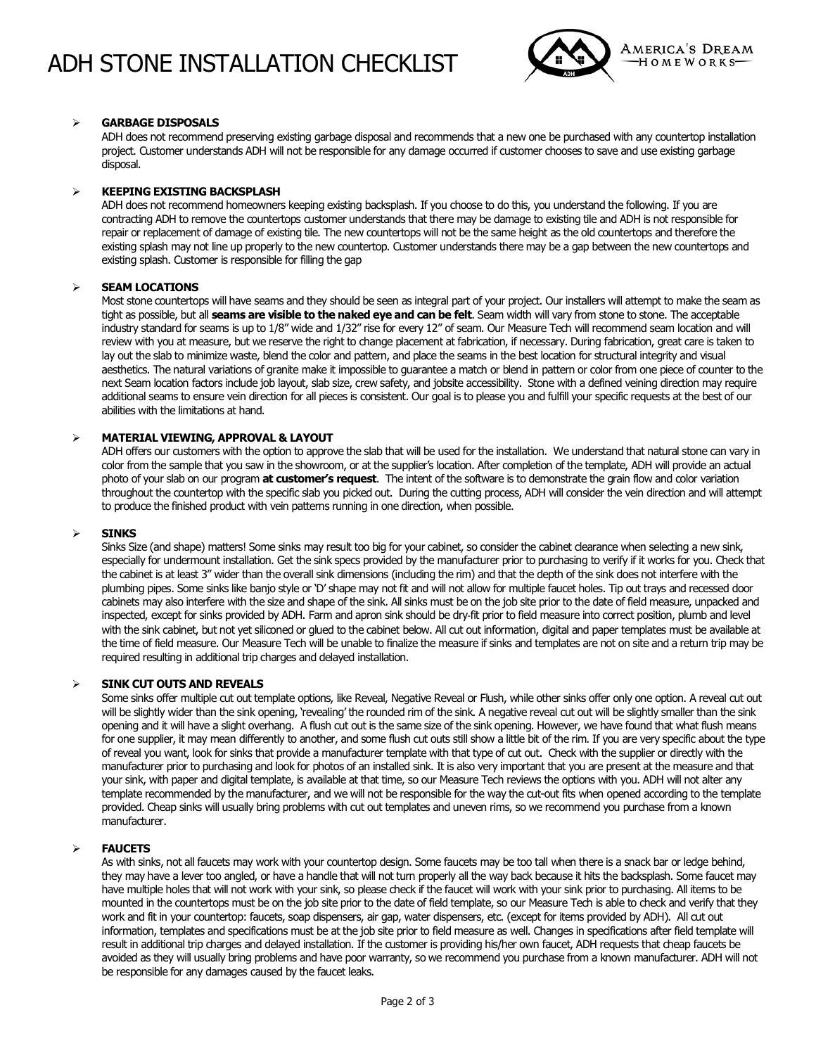

# ➢ **GARBAGE DISPOSALS**

ADH does not recommend preserving existing garbage disposal and recommends that a new one be purchased with any countertop installation project. Customer understands ADH will not be responsible for any damage occurred if customer chooses to save and use existing garbage disposal.

# ➢ **KEEPING EXISTING BACKSPLASH**

ADH does not recommend homeowners keeping existing backsplash. If you choose to do this, you understand the following. If you are contracting ADH to remove the countertops customer understands that there may be damage to existing tile and ADH is not responsible for repair or replacement of damage of existing tile. The new countertops will not be the same height as the old countertops and therefore the existing splash may not line up properly to the new countertop. Customer understands there may be a gap between the new countertops and existing splash. Customer is responsible for filling the gap

# ➢ **SEAM LOCATIONS**

Most stone countertops will have seams and they should be seen as integral part of your project. Our installers will attempt to make the seam as tight as possible, but all **seams are visible to the naked eye and can be felt**. Seam width will vary from stone to stone. The acceptable industry standard for seams is up to 1/8" wide and 1/32" rise for every 12" of seam. Our Measure Tech will recommend seam location and will review with you at measure, but we reserve the right to change placement at fabrication, if necessary. During fabrication, great care is taken to lay out the slab to minimize waste, blend the color and pattern, and place the seams in the best location for structural integrity and visual aesthetics. The natural variations of granite make it impossible to guarantee a match or blend in pattern or color from one piece of counter to the next Seam location factors include job layout, slab size, crew safety, and jobsite accessibility. Stone with a defined veining direction may require additional seams to ensure vein direction for all pieces is consistent. Our goal is to please you and fulfill your specific requests at the best of our abilities with the limitations at hand.

## ➢ **MATERIAL VIEWING, APPROVAL & LAYOUT**

ADH offers our customers with the option to approve the slab that will be used for the installation. We understand that natural stone can vary in color from the sample that you saw in the showroom, or at the supplier's location. After completion of the template, ADH will provide an actual photo of your slab on our program **at customer's request**. The intent of the software is to demonstrate the grain flow and color variation throughout the countertop with the specific slab you picked out. During the cutting process, ADH will consider the vein direction and will attempt to produce the finished product with vein patterns running in one direction, when possible.

#### ➢ **SINKS**

Sinks Size (and shape) matters! Some sinks may result too big for your cabinet, so consider the cabinet clearance when selecting a new sink, especially for undermount installation. Get the sink specs provided by the manufacturer prior to purchasing to verify if it works for you. Check that the cabinet is at least 3" wider than the overall sink dimensions (including the rim) and that the depth of the sink does not interfere with the plumbing pipes. Some sinks like banjo style or 'D' shape may not fit and will not allow for multiple faucet holes. Tip out trays and recessed door cabinets may also interfere with the size and shape of the sink. All sinks must be on the job site prior to the date of field measure, unpacked and inspected, except for sinks provided by ADH. Farm and apron sink should be dry‐fit prior to field measure into correct position, plumb and level with the sink cabinet, but not yet siliconed or glued to the cabinet below. All cut out information, digital and paper templates must be available at the time of field measure. Our Measure Tech will be unable to finalize the measure if sinks and templates are not on site and a return trip may be required resulting in additional trip charges and delayed installation.

# ➢ **SINK CUT OUTS AND REVEALS**

Some sinks offer multiple cut out template options, like Reveal, Negative Reveal or Flush, while other sinks offer only one option. A reveal cut out will be slightly wider than the sink opening, 'revealing' the rounded rim of the sink. A negative reveal cut out will be slightly smaller than the sink opening and it will have a slight overhang. A flush cut out is the same size of the sink opening. However, we have found that what flush means for one supplier, it may mean differently to another, and some flush cut outs still show a little bit of the rim. If you are very specific about the type of reveal you want, look for sinks that provide a manufacturer template with that type of cut out. Check with the supplier or directly with the manufacturer prior to purchasing and look for photos of an installed sink. It is also very important that you are present at the measure and that your sink, with paper and digital template, is available at that time, so our Measure Tech reviews the options with you. ADH will not alter any template recommended by the manufacturer, and we will not be responsible for the way the cut-out fits when opened according to the template provided. Cheap sinks will usually bring problems with cut out templates and uneven rims, so we recommend you purchase from a known manufacturer.

## ➢ **FAUCETS**

As with sinks, not all faucets may work with your countertop design. Some faucets may be too tall when there is a snack bar or ledge behind, they may have a lever too angled, or have a handle that will not turn properly all the way back because it hits the backsplash. Some faucet may have multiple holes that will not work with your sink, so please check if the faucet will work with your sink prior to purchasing. All items to be mounted in the countertops must be on the job site prior to the date of field template, so our Measure Tech is able to check and verify that they work and fit in your countertop: faucets, soap dispensers, air gap, water dispensers, etc. (except for items provided by ADH). All cut out information, templates and specifications must be at the job site prior to field measure as well. Changes in specifications after field template will result in additional trip charges and delayed installation. If the customer is providing his/her own faucet, ADH requests that cheap faucets be avoided as they will usually bring problems and have poor warranty, so we recommend you purchase from a known manufacturer. ADH will not be responsible for any damages caused by the faucet leaks.